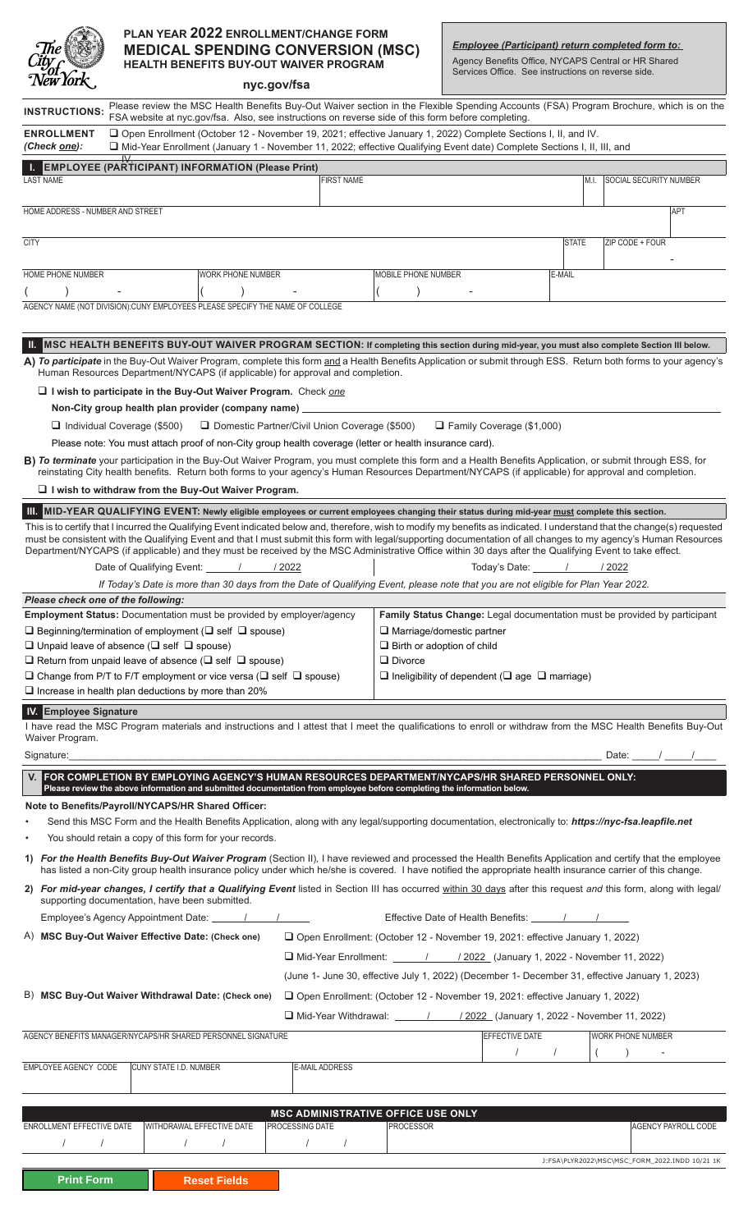

# **PLAN YEAR 2022 ENROLLMENT/CHANGE FORM MEDICAL SPENDING CONVERSION (MSC) HEALTH BENEFITS BUY-OUT WAIVER PROGRAM**

*Employee (Participant) return completed form to:*

Agency Benefits Office, NYCAPS Central or HR Shared Services Office. See instructions on reverse side.

| <i>New York</i> ,                                                                                                                                                                                                                                                                                                                                                                             |                                                                                                                                                                |                                                     | nyc.gov/fsa                                                                                                                            |                       |                                       |  |                                     |                                                |                            |  |
|-----------------------------------------------------------------------------------------------------------------------------------------------------------------------------------------------------------------------------------------------------------------------------------------------------------------------------------------------------------------------------------------------|----------------------------------------------------------------------------------------------------------------------------------------------------------------|-----------------------------------------------------|----------------------------------------------------------------------------------------------------------------------------------------|-----------------------|---------------------------------------|--|-------------------------------------|------------------------------------------------|----------------------------|--|
| <b>INSTRUCTIONS:</b>                                                                                                                                                                                                                                                                                                                                                                          |                                                                                                                                                                |                                                     | Please review the MSC Health Benefits Buy-Out Waiver section in the Flexible Spending Accounts (FSA) Program Brochure, which is on the |                       |                                       |  |                                     |                                                |                            |  |
| FSA website at nyc.gov/fsa. Also, see instructions on reverse side of this form before completing.<br>□ Open Enrollment (October 12 - November 19, 2021; effective January 1, 2022) Complete Sections I, II, and IV.<br><b>ENROLLMENT</b><br>(Check <u>one</u> ):<br>□ Mid-Year Enrollment (January 1 - November 11, 2022; effective Qualifying Event date) Complete Sections I, II, III, and |                                                                                                                                                                |                                                     |                                                                                                                                        |                       |                                       |  |                                     |                                                |                            |  |
| EMPLOYEE (PARTICIPANT) INFORMATION (Please Print)                                                                                                                                                                                                                                                                                                                                             |                                                                                                                                                                |                                                     |                                                                                                                                        |                       |                                       |  |                                     |                                                |                            |  |
| <b>LAST NAME</b>                                                                                                                                                                                                                                                                                                                                                                              |                                                                                                                                                                |                                                     | <b>FIRST NAME</b>                                                                                                                      |                       |                                       |  | M.I.                                | <b>SOCIAL SECURITY NUMBER</b>                  |                            |  |
| HOME ADDRESS - NUMBER AND STREET                                                                                                                                                                                                                                                                                                                                                              |                                                                                                                                                                |                                                     |                                                                                                                                        |                       |                                       |  |                                     |                                                | <b>APT</b>                 |  |
| <b>CITY</b>                                                                                                                                                                                                                                                                                                                                                                                   |                                                                                                                                                                |                                                     |                                                                                                                                        |                       |                                       |  | <b>STATE</b>                        | ZIP CODE + FOUR                                |                            |  |
| HOME PHONE NUMBER                                                                                                                                                                                                                                                                                                                                                                             |                                                                                                                                                                | <b>WORK PHONE NUMBER</b>                            |                                                                                                                                        | MOBILE PHONE NUMBER   |                                       |  | E-MAIL                              |                                                |                            |  |
|                                                                                                                                                                                                                                                                                                                                                                                               |                                                                                                                                                                |                                                     |                                                                                                                                        |                       |                                       |  |                                     |                                                |                            |  |
| AGENCY NAME (NOT DIVISION):CUNY EMPLOYEES PLEASE SPECIFY THE NAME OF COLLEGE                                                                                                                                                                                                                                                                                                                  |                                                                                                                                                                |                                                     |                                                                                                                                        |                       |                                       |  |                                     |                                                |                            |  |
|                                                                                                                                                                                                                                                                                                                                                                                               |                                                                                                                                                                |                                                     |                                                                                                                                        |                       |                                       |  |                                     |                                                |                            |  |
| II. MSC HEALTH BENEFITS BUY-OUT WAIVER PROGRAM SECTION: If completing this section during mid-year, you must also complete Section III below.<br>A) To participate in the Buy-Out Waiver Program, complete this form and a Health Benefits Application or submit through ESS. Return both forms to your agency's                                                                              |                                                                                                                                                                |                                                     |                                                                                                                                        |                       |                                       |  |                                     |                                                |                            |  |
| Human Resources Department/NYCAPS (if applicable) for approval and completion.                                                                                                                                                                                                                                                                                                                |                                                                                                                                                                |                                                     |                                                                                                                                        |                       |                                       |  |                                     |                                                |                            |  |
| I I wish to participate in the Buy-Out Waiver Program. Check one                                                                                                                                                                                                                                                                                                                              |                                                                                                                                                                |                                                     |                                                                                                                                        |                       |                                       |  |                                     |                                                |                            |  |
| Non-City group health plan provider (company name)                                                                                                                                                                                                                                                                                                                                            |                                                                                                                                                                |                                                     |                                                                                                                                        |                       |                                       |  |                                     |                                                |                            |  |
| □ Domestic Partner/Civil Union Coverage (\$500)<br>$\Box$ Family Coverage (\$1,000)<br>$\Box$ Individual Coverage (\$500)<br>Please note: You must attach proof of non-City group health coverage (letter or health insurance card).                                                                                                                                                          |                                                                                                                                                                |                                                     |                                                                                                                                        |                       |                                       |  |                                     |                                                |                            |  |
| B) To terminate your participation in the Buy-Out Waiver Program, you must complete this form and a Health Benefits Application, or submit through ESS, for                                                                                                                                                                                                                                   |                                                                                                                                                                |                                                     |                                                                                                                                        |                       |                                       |  |                                     |                                                |                            |  |
| reinstating City health benefits. Return both forms to your agency's Human Resources Department/NYCAPS (if applicable) for approval and completion.                                                                                                                                                                                                                                           |                                                                                                                                                                |                                                     |                                                                                                                                        |                       |                                       |  |                                     |                                                |                            |  |
| $\Box$ I wish to withdraw from the Buy-Out Waiver Program.                                                                                                                                                                                                                                                                                                                                    |                                                                                                                                                                |                                                     |                                                                                                                                        |                       |                                       |  |                                     |                                                |                            |  |
| III. MID-YEAR QUALIFYING EVENT: Newly eligible employees or current employees changing their status during mid-year must complete this section.<br>This is to certify that I incurred the Qualifying Event indicated below and, therefore, wish to modify my benefits as indicated. I understand that the change(s) requested                                                                 |                                                                                                                                                                |                                                     |                                                                                                                                        |                       |                                       |  |                                     |                                                |                            |  |
| must be consistent with the Qualifying Event and that I must submit this form with legal/supporting documentation of all changes to my agency's Human Resources<br>Department/NYCAPS (if applicable) and they must be received by the MSC Administrative Office within 30 days after the Qualifying Event to take effect.                                                                     |                                                                                                                                                                |                                                     |                                                                                                                                        |                       |                                       |  |                                     |                                                |                            |  |
|                                                                                                                                                                                                                                                                                                                                                                                               | Date of Qualifying Event: / / / 2022                                                                                                                           |                                                     |                                                                                                                                        |                       |                                       |  |                                     |                                                |                            |  |
|                                                                                                                                                                                                                                                                                                                                                                                               |                                                                                                                                                                |                                                     | If Today's Date is more than 30 days from the Date of Qualifying Event, please note that you are not eligible for Plan Year 2022.      |                       |                                       |  |                                     |                                                |                            |  |
| Please check one of the following:<br>Employment Status: Documentation must be provided by employer/agency<br>Family Status Change: Legal documentation must be provided by participant                                                                                                                                                                                                       |                                                                                                                                                                |                                                     |                                                                                                                                        |                       |                                       |  |                                     |                                                |                            |  |
|                                                                                                                                                                                                                                                                                                                                                                                               | $\square$ Beginning/termination of employment ( $\square$ self $\square$ spouse)                                                                               |                                                     | $\Box$ Marriage/domestic partner                                                                                                       |                       |                                       |  |                                     |                                                |                            |  |
|                                                                                                                                                                                                                                                                                                                                                                                               | $\Box$ Unpaid leave of absence ( $\Box$ self $\Box$ spouse)                                                                                                    | $\Box$ Birth or adoption of child<br>$\Box$ Divorce |                                                                                                                                        |                       |                                       |  |                                     |                                                |                            |  |
|                                                                                                                                                                                                                                                                                                                                                                                               | $\Box$ Return from unpaid leave of absence ( $\Box$ self $\Box$ spouse)<br>$\Box$ Change from P/T to F/T employment or vice versa ( $\Box$ self $\Box$ spouse) |                                                     | $\Box$ Ineligibility of dependent ( $\Box$ age $\Box$ marriage)                                                                        |                       |                                       |  |                                     |                                                |                            |  |
| $\Box$ Increase in health plan deductions by more than 20%                                                                                                                                                                                                                                                                                                                                    |                                                                                                                                                                |                                                     |                                                                                                                                        |                       |                                       |  |                                     |                                                |                            |  |
| <b>IV.</b> Employee Signature                                                                                                                                                                                                                                                                                                                                                                 |                                                                                                                                                                |                                                     |                                                                                                                                        |                       |                                       |  |                                     |                                                |                            |  |
| I have read the MSC Program materials and instructions and I attest that I meet the qualifications to enroll or withdraw from the MSC Health Benefits Buy-Out<br>Waiver Program.                                                                                                                                                                                                              |                                                                                                                                                                |                                                     |                                                                                                                                        |                       |                                       |  |                                     |                                                |                            |  |
|                                                                                                                                                                                                                                                                                                                                                                                               |                                                                                                                                                                |                                                     |                                                                                                                                        |                       |                                       |  |                                     | Date: $\frac{1}{\sqrt{1-\frac{1}{2}}}$         |                            |  |
| V. FOR COMPLETION BY EMPLOYING AGENCY'S HUMAN RESOURCES DEPARTMENT/NYCAPS/HR SHARED PERSONNEL ONLY:<br>Please review the above information and submitted documentation from employee before completing the information below.                                                                                                                                                                 |                                                                                                                                                                |                                                     |                                                                                                                                        |                       |                                       |  |                                     |                                                |                            |  |
|                                                                                                                                                                                                                                                                                                                                                                                               |                                                                                                                                                                |                                                     |                                                                                                                                        |                       |                                       |  |                                     |                                                |                            |  |
| Note to Benefits/Payroll/NYCAPS/HR Shared Officer:<br>Send this MSC Form and the Health Benefits Application, along with any legal/supporting documentation, electronically to: https://nyc-fsa.leapfile.net                                                                                                                                                                                  |                                                                                                                                                                |                                                     |                                                                                                                                        |                       |                                       |  |                                     |                                                |                            |  |
| You should retain a copy of this form for your records.                                                                                                                                                                                                                                                                                                                                       |                                                                                                                                                                |                                                     |                                                                                                                                        |                       |                                       |  |                                     |                                                |                            |  |
| 1) For the Health Benefits Buy-Out Waiver Program (Section II), I have reviewed and processed the Health Benefits Application and certify that the employee<br>has listed a non-City group health insurance policy under which he/she is covered. I have notified the appropriate health insurance carrier of this change.                                                                    |                                                                                                                                                                |                                                     |                                                                                                                                        |                       |                                       |  |                                     |                                                |                            |  |
| 2) For mid-year changes, I certify that a Qualifying Event listed in Section III has occurred within 30 days after this request and this form, along with legal/<br>supporting documentation, have been submitted.                                                                                                                                                                            |                                                                                                                                                                |                                                     |                                                                                                                                        |                       |                                       |  |                                     |                                                |                            |  |
|                                                                                                                                                                                                                                                                                                                                                                                               |                                                                                                                                                                |                                                     |                                                                                                                                        |                       |                                       |  |                                     |                                                |                            |  |
| A) MSC Buy-Out Waiver Effective Date: (Check one)<br>□ Open Enrollment: (October 12 - November 19, 2021: effective January 1, 2022)                                                                                                                                                                                                                                                           |                                                                                                                                                                |                                                     |                                                                                                                                        |                       |                                       |  |                                     |                                                |                            |  |
|                                                                                                                                                                                                                                                                                                                                                                                               |                                                                                                                                                                |                                                     | □ Mid-Year Enrollment: _______/ / 2022 (January 1, 2022 - November 11, 2022)                                                           |                       |                                       |  |                                     |                                                |                            |  |
| (June 1- June 30, effective July 1, 2022) (December 1- December 31, effective January 1, 2023)<br>B) MSC Buy-Out Waiver Withdrawal Date: (Check one)<br>□ Open Enrollment: (October 12 - November 19, 2021: effective January 1, 2022)                                                                                                                                                        |                                                                                                                                                                |                                                     |                                                                                                                                        |                       |                                       |  |                                     |                                                |                            |  |
|                                                                                                                                                                                                                                                                                                                                                                                               |                                                                                                                                                                |                                                     |                                                                                                                                        |                       |                                       |  |                                     |                                                |                            |  |
|                                                                                                                                                                                                                                                                                                                                                                                               |                                                                                                                                                                |                                                     | □ Mid-Year Withdrawal: _______/ _____/ 2022 (January 1, 2022 - November 11, 2022)                                                      |                       |                                       |  |                                     |                                                |                            |  |
|                                                                                                                                                                                                                                                                                                                                                                                               | AGENCY BENEFITS MANAGER/NYCAPS/HR SHARED PERSONNEL SIGNATURE                                                                                                   |                                                     |                                                                                                                                        | <b>EFFECTIVE DATE</b> | $\begin{bmatrix} I & I \end{bmatrix}$ |  | <b>WORK PHONE NUMBER</b><br>$($ $)$ |                                                |                            |  |
| EMPLOYEE AGENCY CODE                                                                                                                                                                                                                                                                                                                                                                          | CUNY STATE I.D. NUMBER                                                                                                                                         |                                                     | <b>E-MAIL ADDRESS</b>                                                                                                                  |                       |                                       |  |                                     |                                                |                            |  |
|                                                                                                                                                                                                                                                                                                                                                                                               |                                                                                                                                                                |                                                     |                                                                                                                                        |                       |                                       |  |                                     |                                                |                            |  |
|                                                                                                                                                                                                                                                                                                                                                                                               |                                                                                                                                                                |                                                     | MSC ADMINISTRATIVE OFFICE USE ONLY                                                                                                     |                       |                                       |  |                                     |                                                |                            |  |
| ENROLLMENT EFFECTIVE DATE                                                                                                                                                                                                                                                                                                                                                                     |                                                                                                                                                                | WITHDRAWAL EFFECTIVE DATE                           | PROCESSING DATE                                                                                                                        | <b>PROCESSOR</b>      |                                       |  |                                     |                                                | <b>AGENCY PAYROLL CODE</b> |  |
| $\sqrt{2}$                                                                                                                                                                                                                                                                                                                                                                                    |                                                                                                                                                                | $\sqrt{1}$                                          | $\sqrt{1}$                                                                                                                             |                       |                                       |  |                                     |                                                |                            |  |
| <b>Print Form</b>                                                                                                                                                                                                                                                                                                                                                                             |                                                                                                                                                                | <b>Reset Fields</b>                                 |                                                                                                                                        |                       |                                       |  |                                     | J:FSA\PLYR2022\MSC\MSC FORM 2022.INDD 10/21 1K |                            |  |